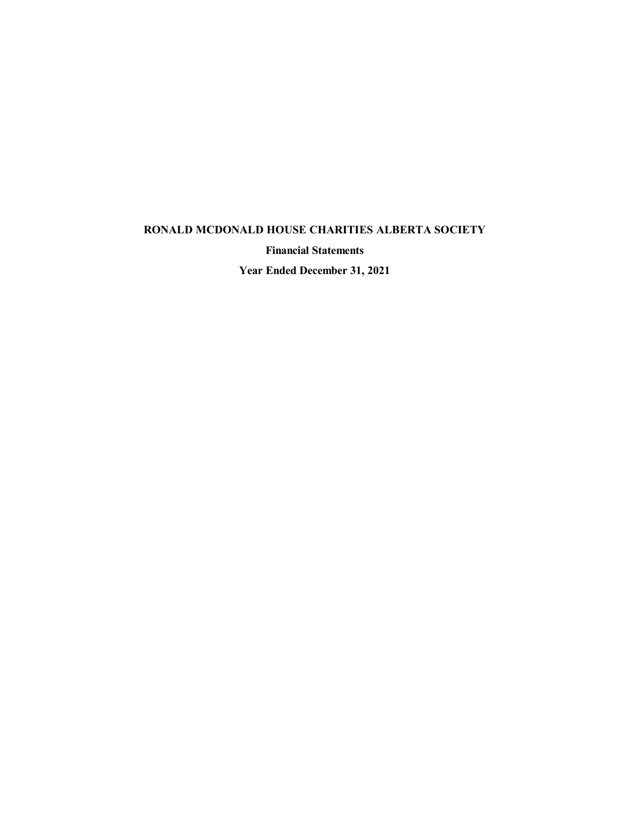**Financial Statements**

**Year Ended December 31, 2021**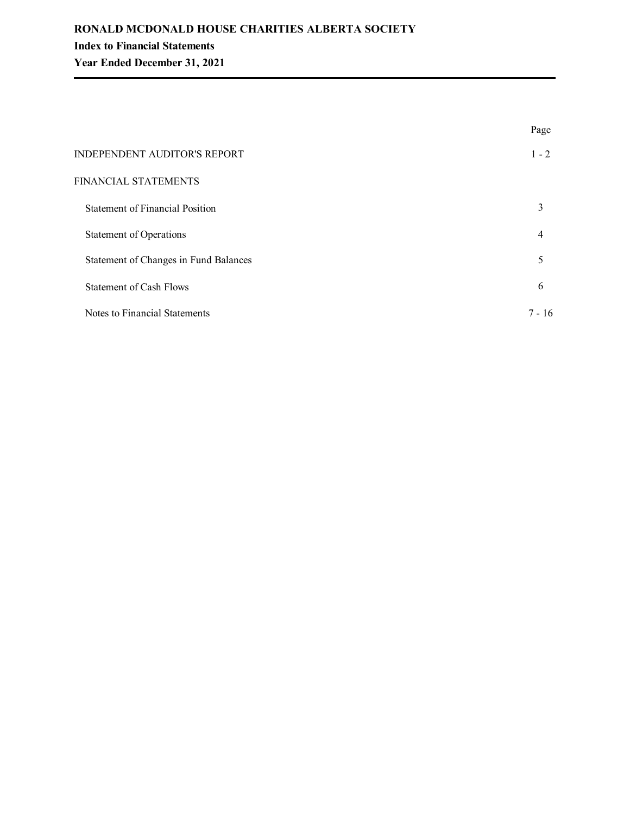|                                        | Page           |
|----------------------------------------|----------------|
| INDEPENDENT AUDITOR'S REPORT           | $1 - 2$        |
| FINANCIAL STATEMENTS                   |                |
| <b>Statement of Financial Position</b> | 3              |
| Statement of Operations                | $\overline{4}$ |
| Statement of Changes in Fund Balances  | 5              |
| Statement of Cash Flows                | 6              |
| Notes to Financial Statements          | $7 - 16$       |
|                                        |                |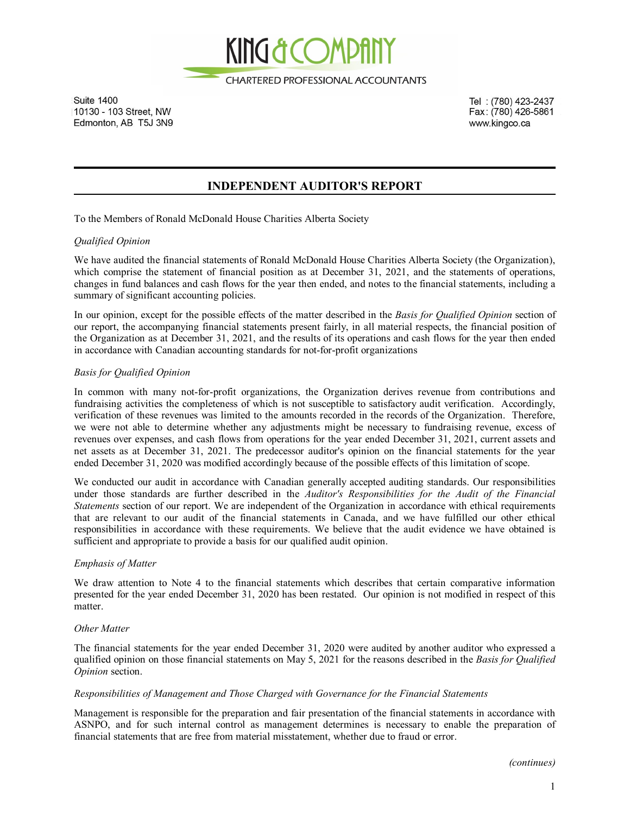

**Suite 1400** 10130 - 103 Street, NW Edmonton, AB T5J 3N9

Tel: (780) 423-2437 Fax: (780) 426-5861 www.kingco.ca

# **INDEPENDENT AUDITOR'S REPORT**

To the Members of Ronald McDonald House Charities Alberta Society

### *Qualified Opinion*

We have audited the financial statements of Ronald McDonald House Charities Alberta Society (the Organization), which comprise the statement of financial position as at December 31, 2021, and the statements of operations, changes in fund balances and cash flows for the year then ended, and notes to the financial statements, including a summary of significant accounting policies.

In our opinion, except for the possible effects of the matter described in the *Basis for Qualified Opinion* section of our report, the accompanying financial statements present fairly, in all material respects, the financial position of the Organization as at December 31, 2021, and the results of its operations and cash flows for the year then ended in accordance with Canadian accounting standards for not-for-profit organizations

### *Basis for Qualified Opinion*

In common with many not-for-profit organizations, the Organization derives revenue from contributions and fundraising activities the completeness of which is not susceptible to satisfactory audit verification. Accordingly, verification of these revenues was limited to the amounts recorded in the records of the Organization. Therefore, we were not able to determine whether any adjustments might be necessary to fundraising revenue, excess of revenues over expenses, and cash flows from operations for the year ended December 31, 2021, current assets and net assets as at December 31, 2021. The predecessor auditor's opinion on the financial statements for the year ended December 31, 2020 was modified accordingly because of the possible effects of this limitation of scope.

We conducted our audit in accordance with Canadian generally accepted auditing standards. Our responsibilities under those standards are further described in the *Auditor's Responsibilities for the Audit of the Financial Statements* section of our report. We are independent of the Organization in accordance with ethical requirements that are relevant to our audit of the financial statements in Canada, and we have fulfilled our other ethical responsibilities in accordance with these requirements. We believe that the audit evidence we have obtained is sufficient and appropriate to provide a basis for our qualified audit opinion.

### *Emphasis of Matter*

We draw attention to Note 4 to the financial statements which describes that certain comparative information presented for the year ended December 31, 2020 has been restated. Our opinion is not modified in respect of this matter.

### *Other Matter*

The financial statements for the year ended December 31, 2020 were audited by another auditor who expressed a qualified opinion on those financial statements on May 5, 2021 for the reasons described in the *Basis for Qualified Opinion* section.

### *Responsibilities of Management and Those Charged with Governance for the Financial Statements*

Management is responsible for the preparation and fair presentation of the financial statements in accordance with ASNPO, and for such internal control as management determines is necessary to enable the preparation of financial statements that are free from material misstatement, whether due to fraud or error.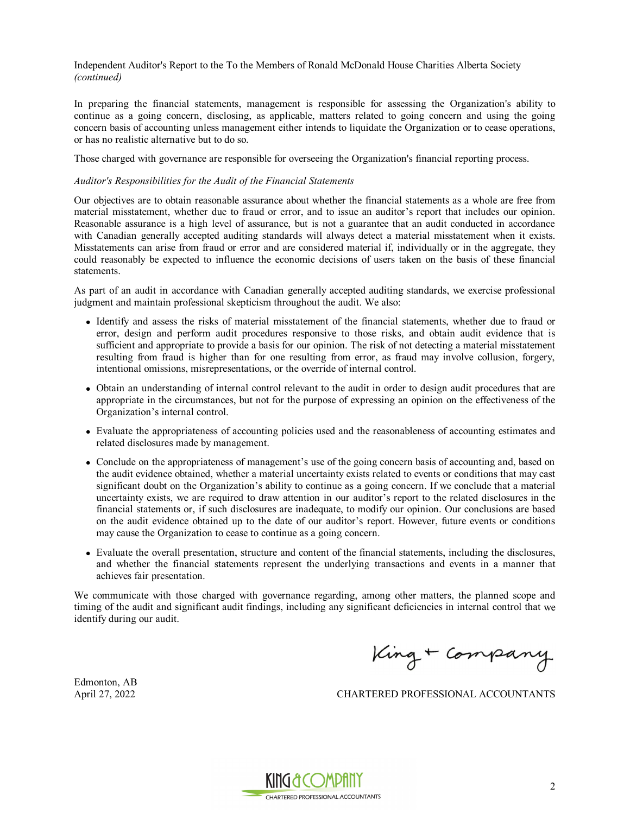Independent Auditor's Report to the To the Members of Ronald McDonald House Charities Alberta Society *(continued)*

In preparing the financial statements, management is responsible for assessing the Organization's ability to continue as a going concern, disclosing, as applicable, matters related to going concern and using the going concern basis of accounting unless management either intends to liquidate the Organization or to cease operations, or has no realistic alternative but to do so.

Those charged with governance are responsible for overseeing the Organization's financial reporting process.

#### *Auditor's Responsibilities for the Audit of the Financial Statements*

Our objectives are to obtain reasonable assurance about whether the financial statements as a whole are free from material misstatement, whether due to fraud or error, and to issue an auditor's report that includes our opinion. Reasonable assurance is a high level of assurance, but is not a guarantee that an audit conducted in accordance with Canadian generally accepted auditing standards will always detect a material misstatement when it exists. Misstatements can arise from fraud or error and are considered material if, individually or in the aggregate, they could reasonably be expected to influence the economic decisions of users taken on the basis of these financial statements.

As part of an audit in accordance with Canadian generally accepted auditing standards, we exercise professional judgment and maintain professional skepticism throughout the audit. We also:

- <sup>l</sup> Identify and assess the risks of material misstatement of the financial statements, whether due to fraud or error, design and perform audit procedures responsive to those risks, and obtain audit evidence that is sufficient and appropriate to provide a basis for our opinion. The risk of not detecting a material misstatement resulting from fraud is higher than for one resulting from error, as fraud may involve collusion, forgery, intentional omissions, misrepresentations, or the override of internal control.
- Obtain an understanding of internal control relevant to the audit in order to design audit procedures that are appropriate in the circumstances, but not for the purpose of expressing an opinion on the effectiveness of the Organization's internal control.
- <sup>l</sup> Evaluate the appropriateness of accounting policies used and the reasonableness of accounting estimates and related disclosures made by management.
- Conclude on the appropriateness of management's use of the going concern basis of accounting and, based on the audit evidence obtained, whether a material uncertainty exists related to events or conditions that may cast significant doubt on the Organization's ability to continue as a going concern. If we conclude that a material uncertainty exists, we are required to draw attention in our auditor's report to the related disclosures in the financial statements or, if such disclosures are inadequate, to modify our opinion. Our conclusions are based on the audit evidence obtained up to the date of our auditor's report. However, future events or conditions may cause the Organization to cease to continue as a going concern.
- Evaluate the overall presentation, structure and content of the financial statements, including the disclosures, and whether the financial statements represent the underlying transactions and events in a manner that achieves fair presentation.

We communicate with those charged with governance regarding, among other matters, the planned scope and timing of the audit and significant audit findings, including any significant deficiencies in internal control that we identify during our audit.

King + Company

Edmonton, AB

April 27, 2022 CHARTERED PROFESSIONAL ACCOUNTANTS

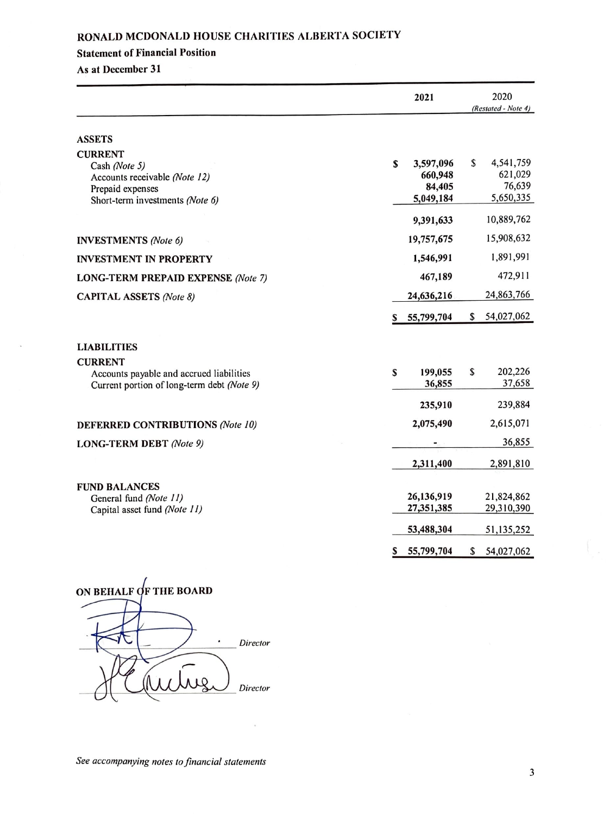#### **Statement of Financial Position**

#### **As at December 31**

|                                                                                                                         |   | 2021                                        |    | 2020                                        |
|-------------------------------------------------------------------------------------------------------------------------|---|---------------------------------------------|----|---------------------------------------------|
|                                                                                                                         |   |                                             |    | (Restated - Note 4)                         |
| <b>ASSETS</b>                                                                                                           |   |                                             |    |                                             |
| <b>CURRENT</b><br>Cash (Note 5)<br>Accounts receivable (Note 12)<br>Prepaid expenses<br>Short-term investments (Note 6) | S | 3,597,096<br>660,948<br>84,405<br>5,049,184 | \$ | 4,541,759<br>621,029<br>76,639<br>5,650,335 |
|                                                                                                                         |   | 9,391,633                                   |    | 10,889,762                                  |
| <b>INVESTMENTS</b> (Note 6)                                                                                             |   | 19,757,675                                  |    | 15,908,632                                  |
| <b>INVESTMENT IN PROPERTY</b>                                                                                           |   | 1,546,991                                   |    | 1,891,991                                   |
| <b>LONG-TERM PREPAID EXPENSE (Note 7)</b>                                                                               |   | 467,189                                     |    | 472,911                                     |
| <b>CAPITAL ASSETS (Note 8)</b>                                                                                          |   | 24,636,216                                  |    | 24,863,766                                  |
|                                                                                                                         | s | 55,799,704                                  | S  | 54,027,062                                  |
| <b>LIABILITIES</b>                                                                                                      |   |                                             |    |                                             |
| <b>CURRENT</b><br>Accounts payable and accrued liabilities<br>Current portion of long-term debt (Note 9)                | S | 199,055<br>36,855                           | S  | 202,226<br>37,658                           |
|                                                                                                                         |   | 235,910                                     |    | 239,884                                     |
| <b>DEFERRED CONTRIBUTIONS (Note 10)</b>                                                                                 |   | 2,075,490                                   |    | 2,615,071                                   |
| <b>LONG-TERM DEBT</b> (Note 9)                                                                                          |   |                                             |    | 36,855                                      |
|                                                                                                                         |   | 2,311,400                                   |    | 2,891,810                                   |
| <b>FUND BALANCES</b><br>General fund (Note 11)<br>Capital asset fund (Note 11)                                          |   | 26,136,919<br>27,351,385                    |    | 21,824,862<br>29,310,390                    |
|                                                                                                                         |   | 53,488,304                                  |    | 51,135,252                                  |
|                                                                                                                         | s | 55,799,704                                  | \$ | 54,027,062                                  |

ON BEHALF OF THE BOARD  $\begin{array}{ccc} \hline \text{B} & \text{Difector} \end{array}$ Director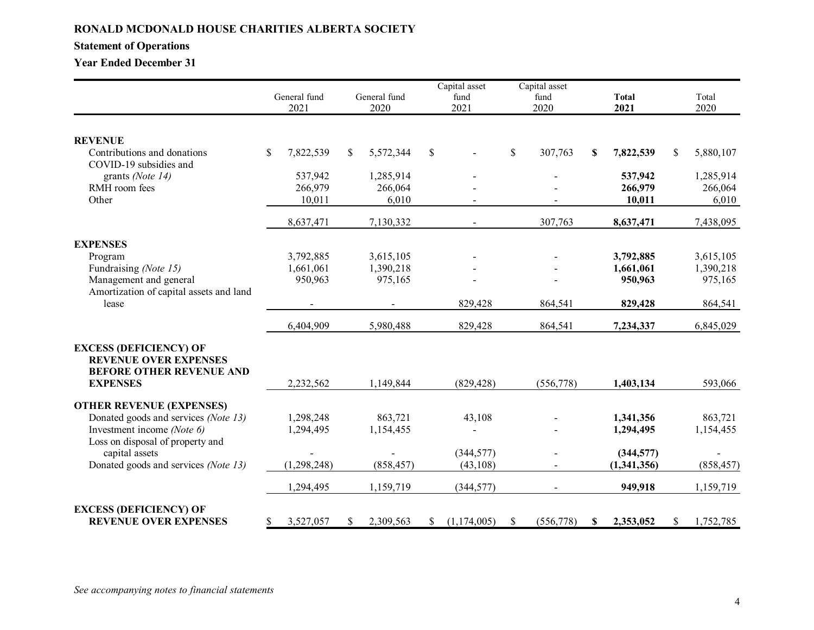# **Statement of Operations**

**Year Ended December 31**

|                                                                                                  |                 |    |              |              | Capital asset |              | Capital asset |    |              |               |            |
|--------------------------------------------------------------------------------------------------|-----------------|----|--------------|--------------|---------------|--------------|---------------|----|--------------|---------------|------------|
|                                                                                                  | General fund    |    | General fund |              | fund          |              | fund          |    | <b>Total</b> |               | Total      |
|                                                                                                  | 2021            |    | 2020         |              | 2021          |              | 2020          |    | 2021         |               | 2020       |
|                                                                                                  |                 |    |              |              |               |              |               |    |              |               |            |
| <b>REVENUE</b>                                                                                   |                 |    |              |              |               |              |               |    |              |               |            |
| Contributions and donations<br>COVID-19 subsidies and                                            | \$<br>7,822,539 | S. | 5,572,344    | $\mathbb{S}$ |               | $\mathbb{S}$ | 307,763       | \$ | 7,822,539    | <sup>\$</sup> | 5,880,107  |
| grants (Note 14)                                                                                 | 537,942         |    | 1,285,914    |              |               |              |               |    | 537,942      |               | 1,285,914  |
| RMH room fees                                                                                    | 266,979         |    | 266,064      |              |               |              |               |    | 266,979      |               | 266,064    |
| Other                                                                                            | 10,011          |    | 6,010        |              |               |              |               |    | 10,011       |               | 6,010      |
|                                                                                                  | 8,637,471       |    | 7,130,332    |              |               |              | 307,763       |    | 8,637,471    |               | 7,438,095  |
| <b>EXPENSES</b>                                                                                  |                 |    |              |              |               |              |               |    |              |               |            |
| Program                                                                                          | 3,792,885       |    | 3,615,105    |              |               |              |               |    | 3,792,885    |               | 3,615,105  |
| Fundraising (Note 15)                                                                            | 1,661,061       |    | 1,390,218    |              |               |              |               |    | 1,661,061    |               | 1,390,218  |
| Management and general                                                                           | 950,963         |    | 975,165      |              |               |              |               |    | 950,963      |               | 975,165    |
| Amortization of capital assets and land                                                          |                 |    |              |              |               |              |               |    |              |               |            |
| lease                                                                                            |                 |    |              |              | 829,428       |              | 864,541       |    | 829,428      |               | 864,541    |
|                                                                                                  | 6,404,909       |    | 5,980,488    |              | 829,428       |              | 864,541       |    | 7,234,337    |               | 6,845,029  |
| <b>EXCESS (DEFICIENCY) OF</b><br><b>REVENUE OVER EXPENSES</b><br><b>BEFORE OTHER REVENUE AND</b> |                 |    |              |              |               |              |               |    |              |               |            |
| <b>EXPENSES</b>                                                                                  | 2,232,562       |    | 1,149,844    |              | (829, 428)    |              | (556, 778)    |    | 1,403,134    |               | 593,066    |
| <b>OTHER REVENUE (EXPENSES)</b>                                                                  |                 |    |              |              |               |              |               |    |              |               |            |
| Donated goods and services (Note 13)                                                             | 1,298,248       |    | 863,721      |              | 43,108        |              |               |    | 1,341,356    |               | 863,721    |
| Investment income (Note 6)                                                                       | 1,294,495       |    | 1,154,455    |              |               |              |               |    | 1,294,495    |               | 1,154,455  |
| Loss on disposal of property and<br>capital assets                                               |                 |    |              |              | (344, 577)    |              |               |    | (344,577)    |               |            |
| Donated goods and services (Note 13)                                                             | (1, 298, 248)   |    | (858, 457)   |              | (43,108)      |              |               |    | (1,341,356)  |               | (858, 457) |
|                                                                                                  | 1,294,495       |    | 1,159,719    |              | (344, 577)    |              |               |    | 949,918      |               | 1,159,719  |
| <b>EXCESS (DEFICIENCY) OF</b>                                                                    |                 |    |              |              |               |              |               |    |              |               |            |
| <b>REVENUE OVER EXPENSES</b>                                                                     | \$<br>3,527,057 | S. | 2,309,563    | \$           | (1,174,005)   | \$           | (556,778)     | S. | 2,353,052    | \$            | 1,752,785  |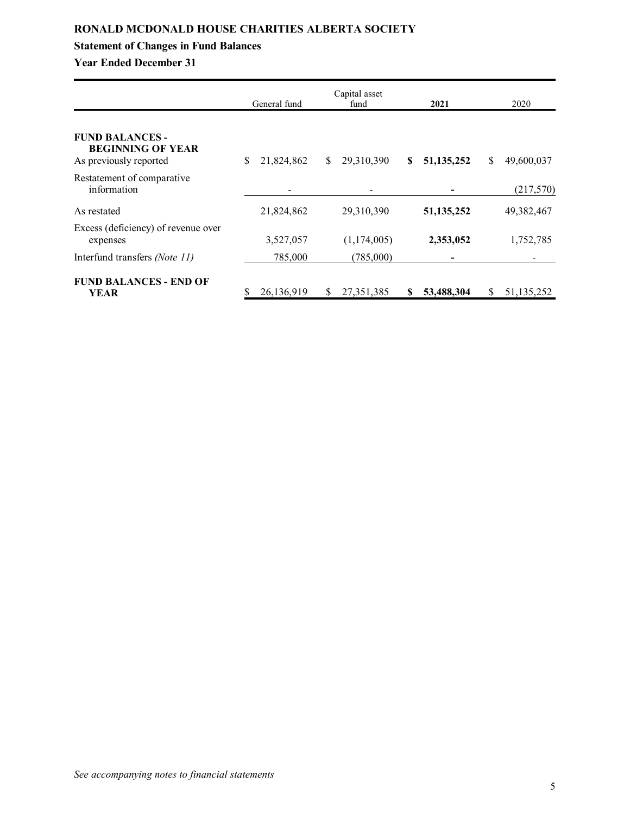# **Statement of Changes in Fund Balances**

**Year Ended December 31**

|                                                                              | General fund |    | Capital asset<br>fund |    | 2021         |               | 2020       |
|------------------------------------------------------------------------------|--------------|----|-----------------------|----|--------------|---------------|------------|
| <b>FUND BALANCES -</b><br><b>BEGINNING OF YEAR</b><br>As previously reported | 21,824,862   | \$ | 29,310,390            | \$ | 51, 135, 252 | <sup>\$</sup> | 49,600,037 |
| Restatement of comparative<br>information                                    |              |    |                       |    |              |               | (217,570)  |
| As restated                                                                  | 21,824,862   |    | 29,310,390            |    | 51, 135, 252 |               | 49,382,467 |
| Excess (deficiency) of revenue over<br>expenses                              | 3,527,057    |    | (1,174,005)           |    | 2,353,052    |               | 1,752,785  |
| Interfund transfers (Note 11)                                                | 785,000      |    | (785,000)             |    |              |               |            |
| <b>FUND BALANCES - END OF</b><br>YEAR                                        | 26,136,919   | S  | 27, 351, 385          | S  | 53,488,304   | S             | 51,135,252 |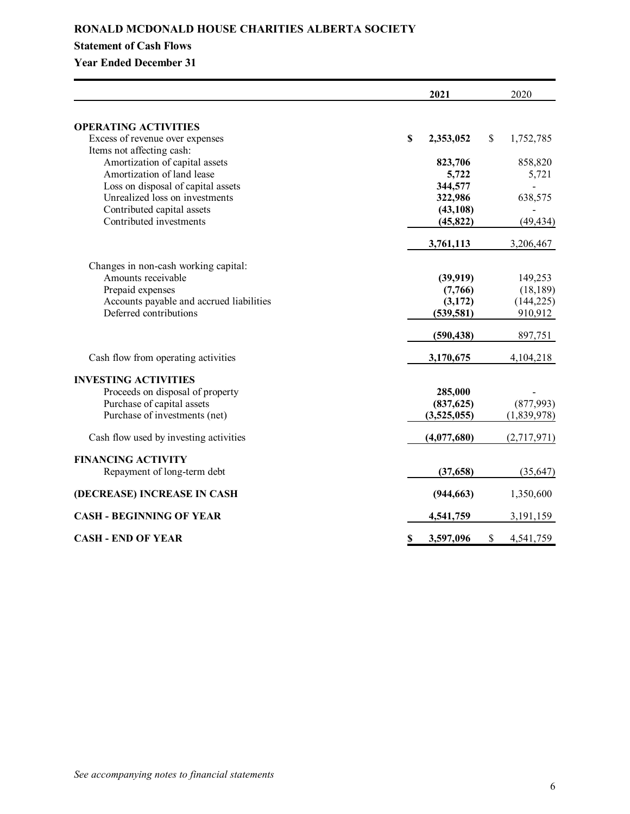# **Statement of Cash Flows**

# **Year Ended December 31**

|                                          | 2021            | 2020            |
|------------------------------------------|-----------------|-----------------|
| <b>OPERATING ACTIVITIES</b>              |                 |                 |
| Excess of revenue over expenses          | \$<br>2,353,052 | \$<br>1,752,785 |
| Items not affecting cash:                |                 |                 |
| Amortization of capital assets           | 823,706         | 858,820         |
| Amortization of land lease               | 5,722           | 5,721           |
| Loss on disposal of capital assets       | 344,577         |                 |
| Unrealized loss on investments           | 322,986         | 638,575         |
| Contributed capital assets               | (43, 108)       |                 |
| Contributed investments                  | (45, 822)       | (49, 434)       |
|                                          | 3,761,113       | 3,206,467       |
| Changes in non-cash working capital:     |                 |                 |
| Amounts receivable                       | (39, 919)       | 149,253         |
| Prepaid expenses                         | (7,766)         | (18, 189)       |
| Accounts payable and accrued liabilities | (3,172)         | (144, 225)      |
| Deferred contributions                   | (539, 581)      | 910,912         |
|                                          | (590, 438)      | 897,751         |
| Cash flow from operating activities      | 3,170,675       | 4, 104, 218     |
| <b>INVESTING ACTIVITIES</b>              |                 |                 |
| Proceeds on disposal of property         | 285,000         |                 |
| Purchase of capital assets               | (837, 625)      | (877,993)       |
| Purchase of investments (net)            | (3,525,055)     | (1,839,978)     |
| Cash flow used by investing activities   | (4,077,680)     | (2,717,971)     |
| <b>FINANCING ACTIVITY</b>                |                 |                 |
| Repayment of long-term debt              | (37, 658)       | (35, 647)       |
| (DECREASE) INCREASE IN CASH              | (944, 663)      | 1,350,600       |
| <b>CASH - BEGINNING OF YEAR</b>          | 4,541,759       | 3, 191, 159     |
| <b>CASH - END OF YEAR</b>                | \$<br>3,597,096 | \$<br>4,541,759 |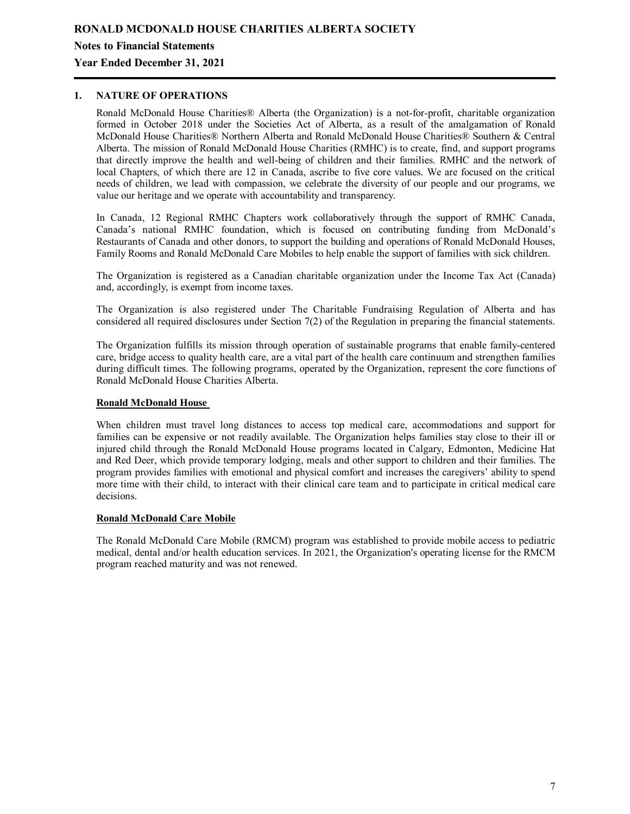### **Notes to Financial Statements**

### **Year Ended December 31, 2021**

# **1. NATURE OF OPERATIONS**

Ronald McDonald House Charities® Alberta (the Organization) is a not-for-profit, charitable organization formed in October 2018 under the Societies Act of Alberta, as a result of the amalgamation of Ronald McDonald House Charities® Northern Alberta and Ronald McDonald House Charities® Southern & Central Alberta. The mission of Ronald McDonald House Charities (RMHC) is to create, find, and support programs that directly improve the health and well-being of children and their families. RMHC and the network of local Chapters, of which there are 12 in Canada, ascribe to five core values. We are focused on the critical needs of children, we lead with compassion, we celebrate the diversity of our people and our programs, we value our heritage and we operate with accountability and transparency.

In Canada, 12 Regional RMHC Chapters work collaboratively through the support of RMHC Canada, Canada's national RMHC foundation, which is focused on contributing funding from McDonald's Restaurants of Canada and other donors, to support the building and operations of Ronald McDonald Houses, Family Rooms and Ronald McDonald Care Mobiles to help enable the support of families with sick children.

The Organization is registered as a Canadian charitable organization under the Income Tax Act (Canada) and, accordingly, is exempt from income taxes.

The Organization is also registered under The Charitable Fundraising Regulation of Alberta and has considered all required disclosures under Section 7(2) of the Regulation in preparing the financial statements.

The Organization fulfills its mission through operation of sustainable programs that enable family-centered care, bridge access to quality health care, are a vital part of the health care continuum and strengthen families during difficult times. The following programs, operated by the Organization, represent the core functions of Ronald McDonald House Charities Alberta.

#### **Ronald McDonald House**

When children must travel long distances to access top medical care, accommodations and support for families can be expensive or not readily available. The Organization helps families stay close to their ill or injured child through the Ronald McDonald House programs located in Calgary, Edmonton, Medicine Hat and Red Deer, which provide temporary lodging, meals and other support to children and their families. The program provides families with emotional and physical comfort and increases the caregivers' ability to spend more time with their child, to interact with their clinical care team and to participate in critical medical care decisions.

#### **Ronald McDonald Care Mobile**

The Ronald McDonald Care Mobile (RMCM) program was established to provide mobile access to pediatric medical, dental and/or health education services. In 2021, the Organization's operating license for the RMCM program reached maturity and was not renewed.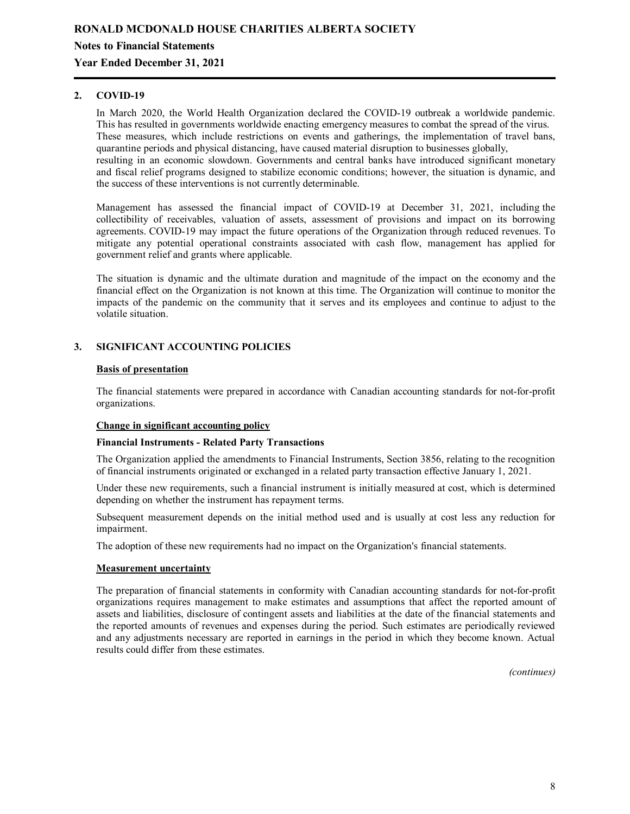## **Year Ended December 31, 2021**

### **2. COVID-19**

In March 2020, the World Health Organization declared the COVID-19 outbreak a worldwide pandemic. This has resulted in governments worldwide enacting emergency measures to combat the spread of the virus. These measures, which include restrictions on events and gatherings, the implementation of travel bans, quarantine periods and physical distancing, have caused material disruption to businesses globally, resulting in an economic slowdown. Governments and central banks have introduced significant monetary and fiscal relief programs designed to stabilize economic conditions; however, the situation is dynamic, and the success of these interventions is not currently determinable.

Management has assessed the financial impact of COVID-19 at December 31, 2021, including the collectibility of receivables, valuation of assets, assessment of provisions and impact on its borrowing agreements. COVID-19 may impact the future operations of the Organization through reduced revenues. To mitigate any potential operational constraints associated with cash flow, management has applied for government relief and grants where applicable.

The situation is dynamic and the ultimate duration and magnitude of the impact on the economy and the financial effect on the Organization is not known at this time. The Organization will continue to monitor the impacts of the pandemic on the community that it serves and its employees and continue to adjust to the volatile situation.

### **3. SIGNIFICANT ACCOUNTING POLICIES**

#### **Basis of presentation**

The financial statements were prepared in accordance with Canadian accounting standards for not-for-profit organizations.

### **Change in significant accounting policy**

#### **Financial Instruments - Related Party Transactions**

The Organization applied the amendments to Financial Instruments, Section 3856, relating to the recognition of financial instruments originated or exchanged in a related party transaction effective January 1, 2021.

Under these new requirements, such a financial instrument is initially measured at cost, which is determined depending on whether the instrument has repayment terms.

Subsequent measurement depends on the initial method used and is usually at cost less any reduction for impairment.

The adoption of these new requirements had no impact on the Organization's financial statements.

### **Measurement uncertainty**

The preparation of financial statements in conformity with Canadian accounting standards for not-for-profit organizations requires management to make estimates and assumptions that affect the reported amount of assets and liabilities, disclosure of contingent assets and liabilities at the date of the financial statements and the reported amounts of revenues and expenses during the period. Such estimates are periodically reviewed and any adjustments necessary are reported in earnings in the period in which they become known. Actual results could differ from these estimates.

*(continues)*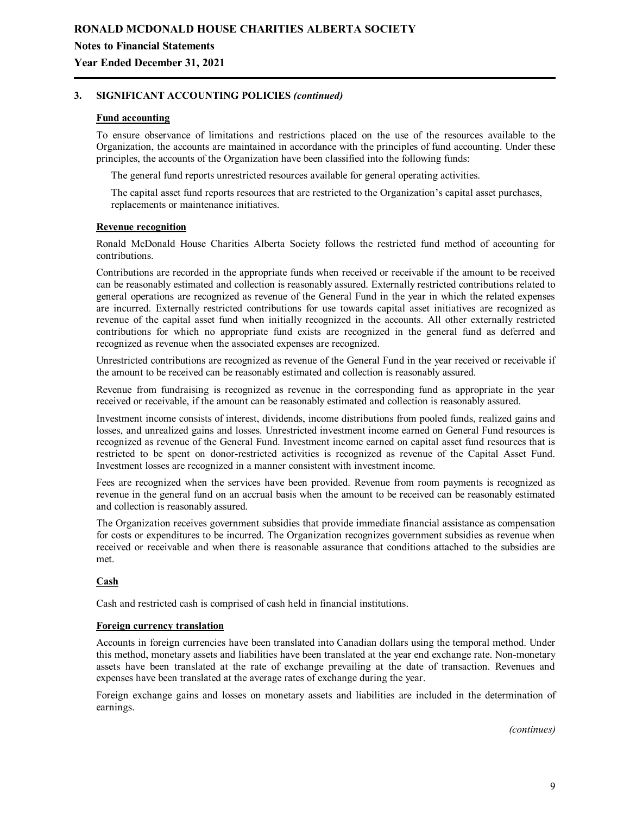## **Year Ended December 31, 2021**

### **3. SIGNIFICANT ACCOUNTING POLICIES** *(continued)*

### **Fund accounting**

To ensure observance of limitations and restrictions placed on the use of the resources available to the Organization, the accounts are maintained in accordance with the principles of fund accounting. Under these principles, the accounts of the Organization have been classified into the following funds:

The general fund reports unrestricted resources available for general operating activities.

The capital asset fund reports resources that are restricted to the Organization's capital asset purchases, replacements or maintenance initiatives.

#### **Revenue recognition**

Ronald McDonald House Charities Alberta Society follows the restricted fund method of accounting for contributions.

Contributions are recorded in the appropriate funds when received or receivable if the amount to be received can be reasonably estimated and collection is reasonably assured. Externally restricted contributions related to general operations are recognized as revenue of the General Fund in the year in which the related expenses are incurred. Externally restricted contributions for use towards capital asset initiatives are recognized as revenue of the capital asset fund when initially recognized in the accounts. All other externally restricted contributions for which no appropriate fund exists are recognized in the general fund as deferred and recognized as revenue when the associated expenses are recognized.

Unrestricted contributions are recognized as revenue of the General Fund in the year received or receivable if the amount to be received can be reasonably estimated and collection is reasonably assured.

Revenue from fundraising is recognized as revenue in the corresponding fund as appropriate in the year received or receivable, if the amount can be reasonably estimated and collection is reasonably assured.

Investment income consists of interest, dividends, income distributions from pooled funds, realized gains and losses, and unrealized gains and losses. Unrestricted investment income earned on General Fund resources is recognized as revenue of the General Fund. Investment income earned on capital asset fund resources that is restricted to be spent on donor-restricted activities is recognized as revenue of the Capital Asset Fund. Investment losses are recognized in a manner consistent with investment income.

Fees are recognized when the services have been provided. Revenue from room payments is recognized as revenue in the general fund on an accrual basis when the amount to be received can be reasonably estimated and collection is reasonably assured.

The Organization receives government subsidies that provide immediate financial assistance as compensation for costs or expenditures to be incurred. The Organization recognizes government subsidies as revenue when received or receivable and when there is reasonable assurance that conditions attached to the subsidies are met.

### **Cash**

Cash and restricted cash is comprised of cash held in financial institutions.

#### **Foreign currency translation**

Accounts in foreign currencies have been translated into Canadian dollars using the temporal method. Under this method, monetary assets and liabilities have been translated at the year end exchange rate. Non-monetary assets have been translated at the rate of exchange prevailing at the date of transaction. Revenues and expenses have been translated at the average rates of exchange during the year.

Foreign exchange gains and losses on monetary assets and liabilities are included in the determination of earnings.

*(continues)*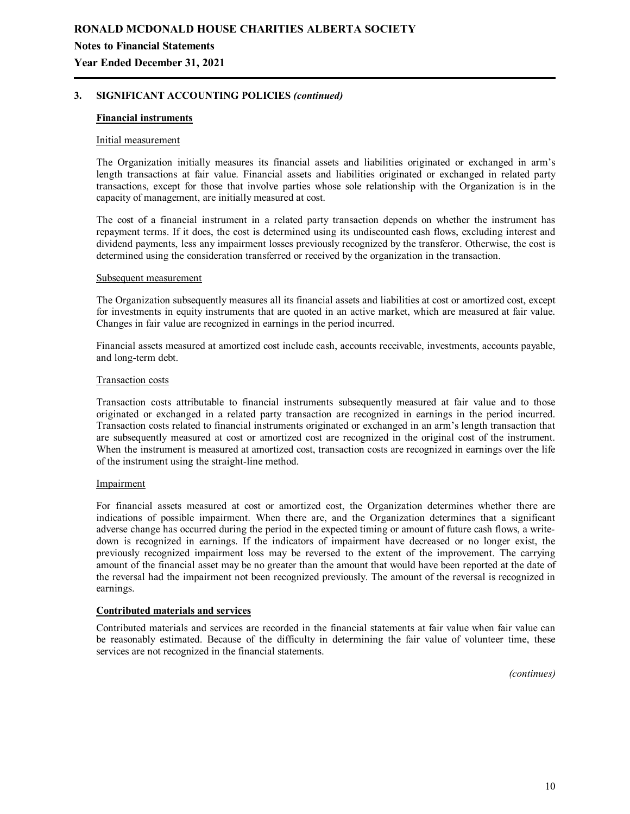**Year Ended December 31, 2021**

### **3. SIGNIFICANT ACCOUNTING POLICIES** *(continued)*

### **Financial instruments**

#### Initial measurement

The Organization initially measures its financial assets and liabilities originated or exchanged in arm's length transactions at fair value. Financial assets and liabilities originated or exchanged in related party transactions, except for those that involve parties whose sole relationship with the Organization is in the capacity of management, are initially measured at cost.

The cost of a financial instrument in a related party transaction depends on whether the instrument has repayment terms. If it does, the cost is determined using its undiscounted cash flows, excluding interest and dividend payments, less any impairment losses previously recognized by the transferor. Otherwise, the cost is determined using the consideration transferred or received by the organization in the transaction.

#### Subsequent measurement

The Organization subsequently measures all its financial assets and liabilities at cost or amortized cost, except for investments in equity instruments that are quoted in an active market, which are measured at fair value. Changes in fair value are recognized in earnings in the period incurred.

Financial assets measured at amortized cost include cash, accounts receivable, investments, accounts payable, and long-term debt.

#### Transaction costs

Transaction costs attributable to financial instruments subsequently measured at fair value and to those originated or exchanged in a related party transaction are recognized in earnings in the period incurred. Transaction costs related to financial instruments originated or exchanged in an arm's length transaction that are subsequently measured at cost or amortized cost are recognized in the original cost of the instrument. When the instrument is measured at amortized cost, transaction costs are recognized in earnings over the life of the instrument using the straight-line method.

#### Impairment

For financial assets measured at cost or amortized cost, the Organization determines whether there are indications of possible impairment. When there are, and the Organization determines that a significant adverse change has occurred during the period in the expected timing or amount of future cash flows, a writedown is recognized in earnings. If the indicators of impairment have decreased or no longer exist, the previously recognized impairment loss may be reversed to the extent of the improvement. The carrying amount of the financial asset may be no greater than the amount that would have been reported at the date of the reversal had the impairment not been recognized previously. The amount of the reversal is recognized in earnings.

### **Contributed materials and services**

Contributed materials and services are recorded in the financial statements at fair value when fair value can be reasonably estimated. Because of the difficulty in determining the fair value of volunteer time, these services are not recognized in the financial statements.

*(continues)*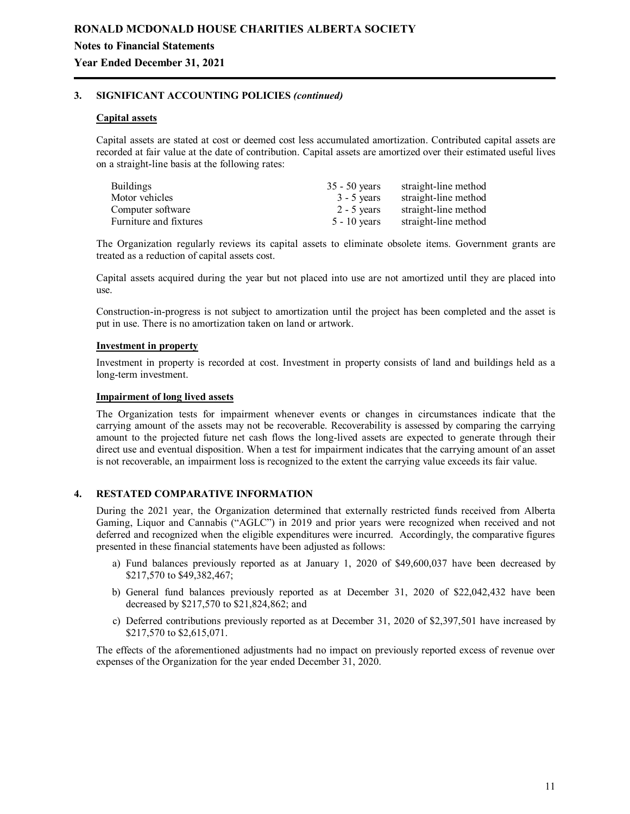### **Year Ended December 31, 2021**

### **3. SIGNIFICANT ACCOUNTING POLICIES** *(continued)*

#### **Capital assets**

Capital assets are stated at cost or deemed cost less accumulated amortization. Contributed capital assets are recorded at fair value at the date of contribution. Capital assets are amortized over their estimated useful lives on a straight-line basis at the following rates:

| <b>Buildings</b>       | $35 - 50$ years | straight-line method |
|------------------------|-----------------|----------------------|
| Motor vehicles         | $3 - 5$ years   | straight-line method |
| Computer software      | $2 - 5$ vears   | straight-line method |
| Furniture and fixtures | $5 - 10$ vears  | straight-line method |

The Organization regularly reviews its capital assets to eliminate obsolete items. Government grants are treated as a reduction of capital assets cost.

Capital assets acquired during the year but not placed into use are not amortized until they are placed into use.

Construction-in-progress is not subject to amortization until the project has been completed and the asset is put in use. There is no amortization taken on land or artwork.

#### **Investment in property**

Investment in property is recorded at cost. Investment in property consists of land and buildings held as a long-term investment.

#### **Impairment of long lived assets**

The Organization tests for impairment whenever events or changes in circumstances indicate that the carrying amount of the assets may not be recoverable. Recoverability is assessed by comparing the carrying amount to the projected future net cash flows the long-lived assets are expected to generate through their direct use and eventual disposition. When a test for impairment indicates that the carrying amount of an asset is not recoverable, an impairment loss is recognized to the extent the carrying value exceeds its fair value.

### **4. RESTATED COMPARATIVE INFORMATION**

During the 2021 year, the Organization determined that externally restricted funds received from Alberta Gaming, Liquor and Cannabis ("AGLC") in 2019 and prior years were recognized when received and not deferred and recognized when the eligible expenditures were incurred. Accordingly, the comparative figures presented in these financial statements have been adjusted as follows:

- a) Fund balances previously reported as at January 1, 2020 of \$49,600,037 have been decreased by \$217,570 to \$49,382,467;
- b) General fund balances previously reported as at December 31, 2020 of \$22,042,432 have been decreased by \$217,570 to \$21,824,862; and
- c) Deferred contributions previously reported as at December 31, 2020 of \$2,397,501 have increased by \$217,570 to \$2,615,071.

The effects of the aforementioned adjustments had no impact on previously reported excess of revenue over expenses of the Organization for the year ended December 31, 2020.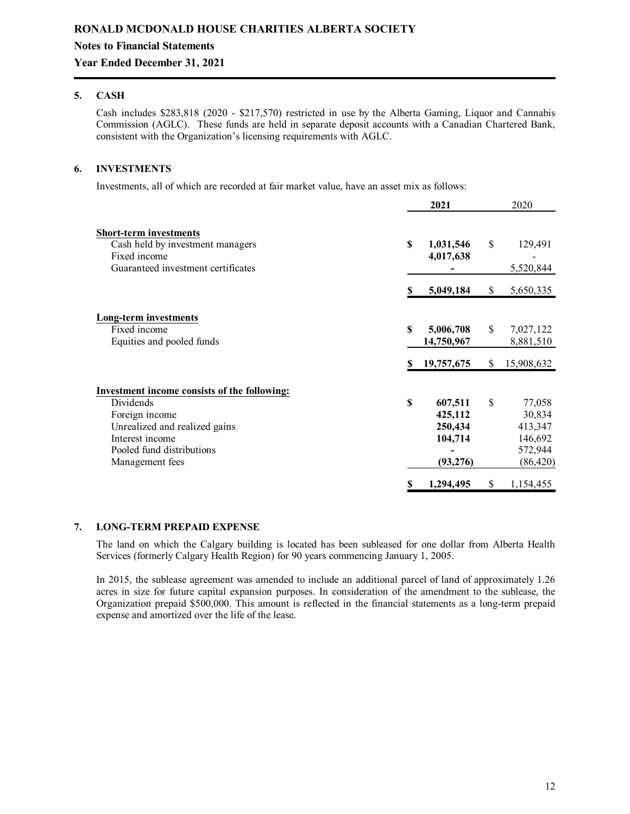## **Year Ended December 31, 2021**

### **5. CASH**

Cash includes \$283,818 (2020 - \$217,570) restricted in use by the Alberta Gaming, Liquor and Cannabis Commission (AGLC). These funds are held in separate deposit accounts with a Canadian Chartered Bank, consistent with the Organization's licensing requirements with AGLC.

### **6. INVESTMENTS**

Investments, all of which are recorded at fair market value, have an asset mix as follows:

|                                              |     | 2021       |              | 2020       |
|----------------------------------------------|-----|------------|--------------|------------|
| <b>Short-term investments</b>                |     |            |              |            |
| Cash held by investment managers             | \$. | 1,031,546  | \$           | 129,491    |
| Fixed income                                 |     | 4,017,638  |              |            |
| Guaranteed investment certificates           |     |            |              | 5,520,844  |
|                                              | S   | 5,049,184  | <sup>S</sup> | 5,650,335  |
| <b>Long-term investments</b>                 |     |            |              |            |
| Fixed income                                 | \$  | 5,006,708  | \$           | 7,027,122  |
| Equities and pooled funds                    |     | 14,750,967 |              | 8,881,510  |
|                                              |     |            |              |            |
|                                              |     | 19,757,675 | \$           | 15,908,632 |
| Investment income consists of the following: |     |            |              |            |
| Dividends                                    | S   | 607,511    | \$           | 77,058     |
| Foreign income                               |     | 425,112    |              | 30,834     |
| Unrealized and realized gains                |     | 250,434    |              | 413,347    |
| Interest income                              |     | 104,714    |              | 146,692    |
| Pooled fund distributions                    |     |            |              | 572,944    |
| Management fees                              |     | (93, 276)  |              | (86, 420)  |
|                                              |     | 1,294,495  | \$           | 1,154,455  |

#### **7. LONG-TERM PREPAID EXPENSE**

The land on which the Calgary building is located has been subleased for one dollar from Alberta Health Services (formerly Calgary Health Region) for 90 years commencing January 1, 2005.

In 2015, the sublease agreement was amended to include an additional parcel of land of approximately 1.26 acres in size for future capital expansion purposes. In consideration of the amendment to the sublease, the Organization prepaid \$500,000. This amount is reflected in the financial statements as a long-term prepaid expense and amortized over the life of the lease.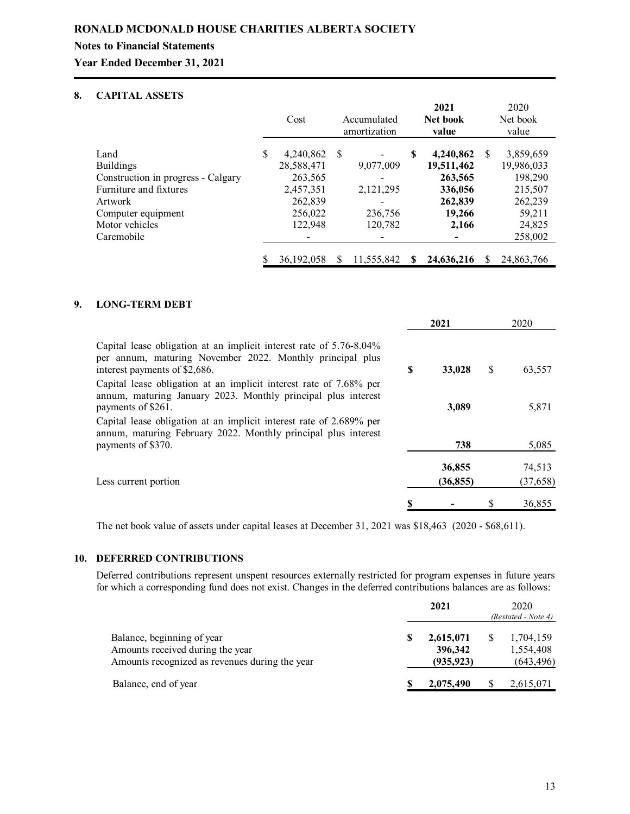**Year Ended December 31, 2021**

# **8. CAPITAL ASSETS**

|                                    |   | Cost         |    | Accumulated<br>amortization |   | 2021<br>Net book<br>value |               | 2020<br>Net book<br>value |
|------------------------------------|---|--------------|----|-----------------------------|---|---------------------------|---------------|---------------------------|
| Land                               | S | 4,240,862    | -S |                             | S | 4,240,862                 | <sup>\$</sup> | 3,859,659                 |
| <b>Buildings</b>                   |   | 28,588,471   |    | 9,077,009                   |   | 19,511,462                |               | 19,986,033                |
| Construction in progress - Calgary |   | 263,565      |    |                             |   | 263,565                   |               | 198,290                   |
| Furniture and fixtures             |   | 2,457,351    |    | 2, 121, 295                 |   | 336,056                   |               | 215,507                   |
| Artwork                            |   | 262,839      |    |                             |   | 262,839                   |               | 262,239                   |
| Computer equipment                 |   | 256,022      |    | 236,756                     |   | 19,266                    |               | 59,211                    |
| Motor vehicles                     |   | 122,948      |    | 120,782                     |   | 2,166                     |               | 24,825                    |
| Caremobile                         |   |              |    |                             |   |                           |               | 258,002                   |
|                                    |   | 36, 192, 058 | S  | 11,555,842                  | S | 24,636,216                |               | 24,863,766                |

### **9. LONG-TERM DEBT**

|                                                                                                                                                                   |   | 2021                |   | 2020                |
|-------------------------------------------------------------------------------------------------------------------------------------------------------------------|---|---------------------|---|---------------------|
| Capital lease obligation at an implicit interest rate of 5.76-8.04%<br>per annum, maturing November 2022. Monthly principal plus<br>interest payments of \$2,686. | S | 33,028              | S | 63,557              |
| Capital lease obligation at an implicit interest rate of 7.68% per<br>annum, maturing January 2023. Monthly principal plus interest<br>payments of \$261.         |   | 3,089               |   | 5,871               |
| Capital lease obligation at an implicit interest rate of 2.689% per<br>annum, maturing February 2022. Monthly principal plus interest<br>payments of \$370.       |   | 738                 |   | 5,085               |
| Less current portion                                                                                                                                              |   | 36,855<br>(36, 855) |   | 74,513<br>(37, 658) |
|                                                                                                                                                                   |   |                     |   | 36,855              |

The net book value of assets under capital leases at December 31, 2021 was \$18,463 (2020 - \$68,611).

### **10. DEFERRED CONTRIBUTIONS**

Deferred contributions represent unspent resources externally restricted for program expenses in future years for which a corresponding fund does not exist. Changes in the deferred contributions balances are as follows:

|                                                                                                                  | 2021                               | 2020<br>(Restated - Note 4)          |
|------------------------------------------------------------------------------------------------------------------|------------------------------------|--------------------------------------|
| Balance, beginning of year<br>Amounts received during the year<br>Amounts recognized as revenues during the year | 2,615,071<br>396,342<br>(935, 923) | 1,704,159<br>1,554,408<br>(643, 496) |
| Balance, end of year                                                                                             | 2,075,490                          | 2,615,071                            |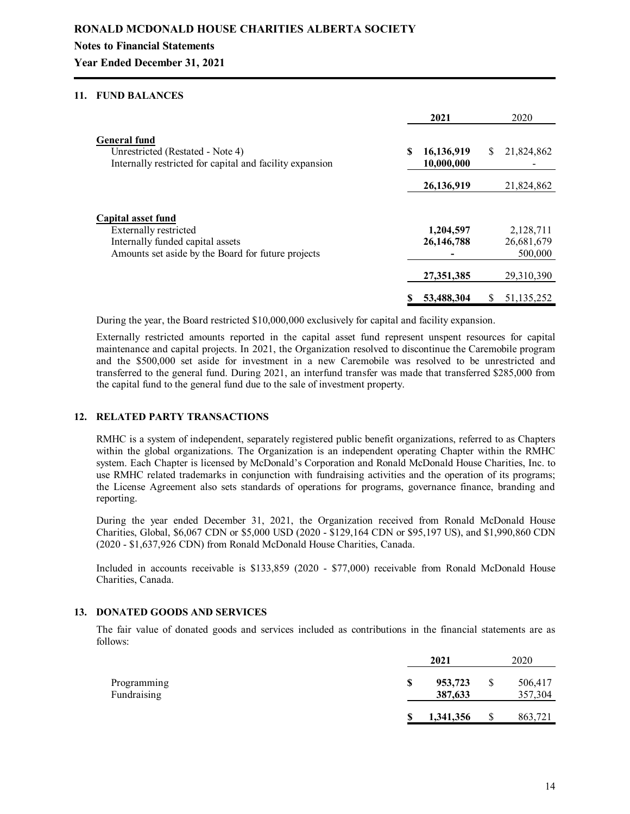**Year Ended December 31, 2021**

### **11. FUND BALANCES**

|                                                                                                                     | 2021                     |   | 2020       |
|---------------------------------------------------------------------------------------------------------------------|--------------------------|---|------------|
| <b>General fund</b><br>Unrestricted (Restated - Note 4)<br>Internally restricted for capital and facility expansion | 16,136,919<br>10,000,000 | S | 21,824,862 |
|                                                                                                                     | 26,136,919               |   | 21,824,862 |
| Capital asset fund                                                                                                  |                          |   |            |
| Externally restricted                                                                                               | 1,204,597                |   | 2,128,711  |
| Internally funded capital assets                                                                                    | 26, 146, 788             |   | 26,681,679 |
| Amounts set aside by the Board for future projects                                                                  |                          |   | 500,000    |
|                                                                                                                     | 27,351,385               |   | 29,310,390 |
|                                                                                                                     | 53,488,304               | S | 51,135,252 |

During the year, the Board restricted \$10,000,000 exclusively for capital and facility expansion.

Externally restricted amounts reported in the capital asset fund represent unspent resources for capital maintenance and capital projects. In 2021, the Organization resolved to discontinue the Caremobile program and the \$500,000 set aside for investment in a new Caremobile was resolved to be unrestricted and transferred to the general fund. During 2021, an interfund transfer was made that transferred \$285,000 from the capital fund to the general fund due to the sale of investment property.

### **12. RELATED PARTY TRANSACTIONS**

RMHC is a system of independent, separately registered public benefit organizations, referred to as Chapters within the global organizations. The Organization is an independent operating Chapter within the RMHC system. Each Chapter is licensed by McDonald's Corporation and Ronald McDonald House Charities, Inc. to use RMHC related trademarks in conjunction with fundraising activities and the operation of its programs; the License Agreement also sets standards of operations for programs, governance finance, branding and reporting.

During the year ended December 31, 2021, the Organization received from Ronald McDonald House Charities, Global, \$6,067 CDN or \$5,000 USD (2020 - \$129,164 CDN or \$95,197 US), and \$1,990,860 CDN (2020 - \$1,637,926 CDN) from Ronald McDonald House Charities, Canada.

Included in accounts receivable is \$133,859 (2020 - \$77,000) receivable from Ronald McDonald House Charities, Canada.

### **13. DONATED GOODS AND SERVICES**

The fair value of donated goods and services included as contributions in the financial statements are as follows:

|                            | 2021                     |    | 2020               |
|----------------------------|--------------------------|----|--------------------|
| Programming<br>Fundraising | \$<br>953,723<br>387,633 | S  | 506,417<br>357,304 |
|                            | 1,341,356                | \$ | 863,721            |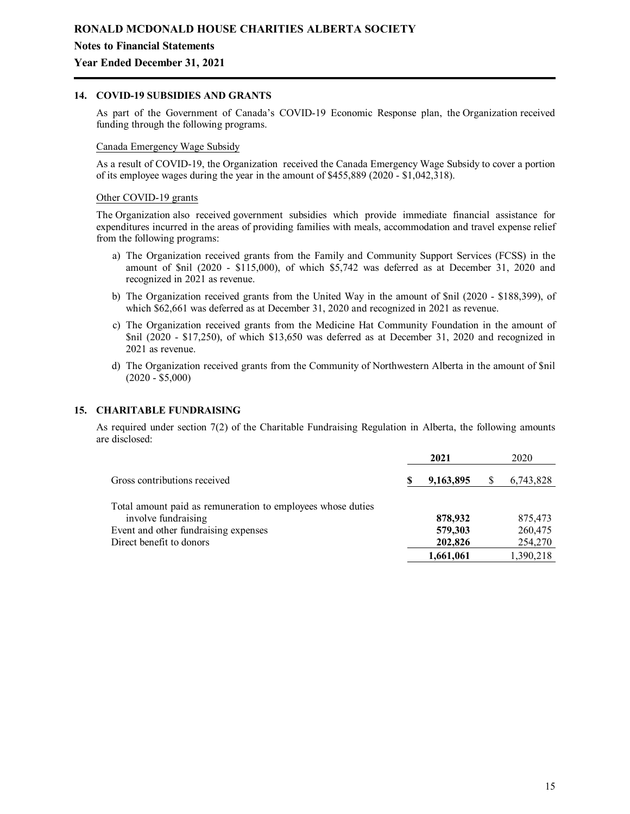### **Year Ended December 31, 2021**

### **14. COVID-19 SUBSIDIES AND GRANTS**

As part of the Government of Canada's COVID-19 Economic Response plan, the Organization received funding through the following programs.

#### Canada Emergency Wage Subsidy

As a result of COVID-19, the Organization received the Canada Emergency Wage Subsidy to cover a portion of its employee wages during the year in the amount of \$455,889 (2020 - \$1,042,318).

#### Other COVID-19 grants

The Organization also received government subsidies which provide immediate financial assistance for expenditures incurred in the areas of providing families with meals, accommodation and travel expense relief from the following programs:

- a) The Organization received grants from the Family and Community Support Services (FCSS) in the amount of \$nil (2020 - \$115,000), of which \$5,742 was deferred as at December 31, 2020 and recognized in 2021 as revenue.
- b) The Organization received grants from the United Way in the amount of \$nil (2020 \$188,399), of which \$62,661 was deferred as at December 31, 2020 and recognized in 2021 as revenue.
- c) The Organization received grants from the Medicine Hat Community Foundation in the amount of \$nil (2020 - \$17,250), of which \$13,650 was deferred as at December 31, 2020 and recognized in 2021 as revenue.
- d) The Organization received grants from the Community of Northwestern Alberta in the amount of \$nil (2020 - \$5,000)

### **15. CHARITABLE FUNDRAISING**

As required under section 7(2) of the Charitable Fundraising Regulation in Alberta, the following amounts are disclosed:

|                                                             |  | 2021      |  | 2020      |  |
|-------------------------------------------------------------|--|-----------|--|-----------|--|
| Gross contributions received                                |  | 9,163,895 |  | 6,743,828 |  |
| Total amount paid as remuneration to employees whose duties |  |           |  |           |  |
| involve fundraising                                         |  | 878,932   |  | 875,473   |  |
| Event and other fundraising expenses                        |  | 579,303   |  | 260,475   |  |
| Direct benefit to donors                                    |  | 202,826   |  | 254,270   |  |
|                                                             |  | 1,661,061 |  | 1,390,218 |  |